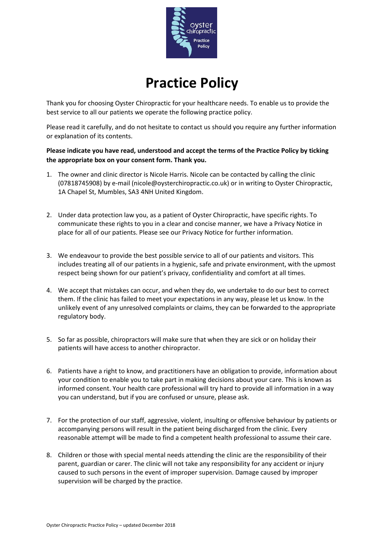

## **Practice Policy**

Thank you for choosing Oyster Chiropractic for your healthcare needs. To enable us to provide the best service to all our patients we operate the following practice policy.

Please read it carefully, and do not hesitate to contact us should you require any further information or explanation of its contents.

**Please indicate you have read, understood and accept the terms of the Practice Policy by ticking the appropriate box on your consent form. Thank you.**

- 1. The owner and clinic director is Nicole Harris. Nicole can be contacted by calling the clinic (07818745908) by e-mail (nicole@oysterchiropractic.co.uk) or in writing to Oyster Chiropractic, 1A Chapel St, Mumbles, SA3 4NH United Kingdom.
- 2. Under data protection law you, as a patient of Oyster Chiropractic, have specific rights. To communicate these rights to you in a clear and concise manner, we have a Privacy Notice in place for all of our patients. Please see our Privacy Notice for further information.
- 3. We endeavour to provide the best possible service to all of our patients and visitors. This includes treating all of our patients in a hygienic, safe and private environment, with the upmost respect being shown for our patient's privacy, confidentiality and comfort at all times.
- 4. We accept that mistakes can occur, and when they do, we undertake to do our best to correct them. If the clinic has failed to meet your expectations in any way, please let us know. In the unlikely event of any unresolved complaints or claims, they can be forwarded to the appropriate regulatory body.
- 5. So far as possible, chiropractors will make sure that when they are sick or on holiday their patients will have access to another chiropractor.
- 6. Patients have a right to know, and practitioners have an obligation to provide, information about your condition to enable you to take part in making decisions about your care. This is known as informed consent. Your health care professional will try hard to provide all information in a way you can understand, but if you are confused or unsure, please ask.
- 7. For the protection of our staff, aggressive, violent, insulting or offensive behaviour by patients or accompanying persons will result in the patient being discharged from the clinic. Every reasonable attempt will be made to find a competent health professional to assume their care.
- 8. Children or those with special mental needs attending the clinic are the responsibility of their parent, guardian or carer. The clinic will not take any responsibility for any accident or injury caused to such persons in the event of improper supervision. Damage caused by improper supervision will be charged by the practice.